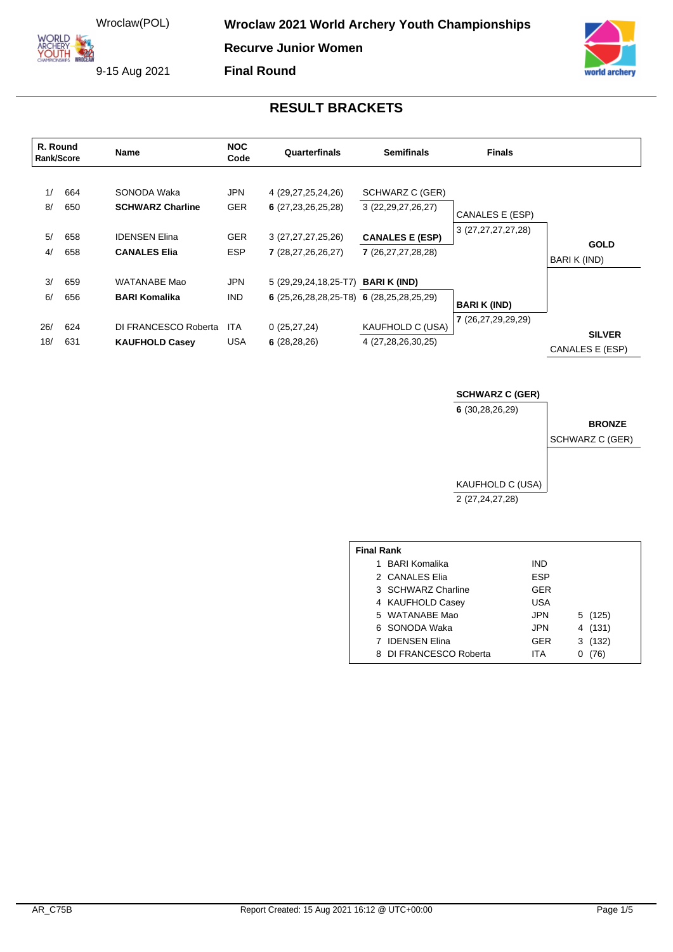**ORLD** ARCHERY<br>YOUTH **Wroclaw 2021 World Archery Youth Championships** 

**Recurve Junior Women**

9-15 Aug 2021



#### **RESULT BRACKETS**

| R. Round<br>Rank/Score |                          | Name                                                                                  | <b>NOC</b><br>Code                                   | Quarterfinals                                                                               | <b>Semifinals</b>                                                                                                                  | <b>Finals</b>      |                                  |
|------------------------|--------------------------|---------------------------------------------------------------------------------------|------------------------------------------------------|---------------------------------------------------------------------------------------------|------------------------------------------------------------------------------------------------------------------------------------|--------------------|----------------------------------|
| 1/<br>8/<br>5/<br>4/   | 664<br>650<br>658<br>658 | SONODA Waka<br><b>SCHWARZ Charline</b><br><b>IDENSEN Elina</b><br><b>CANALES Elia</b> | <b>JPN</b><br><b>GER</b><br><b>GER</b><br><b>ESP</b> | 4 (29, 27, 25, 24, 26)<br>6(27, 23, 26, 25, 28)<br>3 (27,27,27,25,26)<br>7 (28,27,26,26,27) | SCHWARZ C (GER)<br>3 (22, 29, 27, 26, 27)<br>CANALES E (ESP)<br>3 (27,27,27,27,28)<br><b>CANALES E (ESP)</b><br>7 (26,27,27,28,28) |                    | <b>GOLD</b><br>BARI K (IND)      |
| 3/<br>6/               | 659<br>656               | WATANABE Mao<br><b>BARI Komalika</b>                                                  | <b>JPN</b><br><b>IND</b>                             | 5 (29,29,24,18,25-T7)<br>6 $(25, 26, 28, 28, 25 - T8)$ 6 $(28, 25, 28, 25, 29)$             | <b>BARI K (IND)</b>                                                                                                                | <b>BARIK (IND)</b> |                                  |
| 26/<br>18/             | 624<br>631               | DI FRANCESCO Roberta<br><b>KAUFHOLD Casey</b>                                         | <b>ITA</b><br><b>USA</b>                             | 0(25, 27, 24)<br>6(28, 28, 26)                                                              | KAUFHOLD C (USA)<br>4 (27,28,26,30,25)                                                                                             | 7 (26,27,29,29,29) | <b>SILVER</b><br>CANALES E (ESP) |

**SCHWARZ C (GER)**

**6** (30,28,26,29)

# **BRONZE**

archery

SCHWARZ C (GER)

KAUFHOLD C (USA) 2 (27,24,27,28)

| <b>Final Rank</b> |                        |            |         |  |  |  |  |  |  |
|-------------------|------------------------|------------|---------|--|--|--|--|--|--|
| 1.                | <b>BARI Komalika</b>   | IND        |         |  |  |  |  |  |  |
|                   | 2 CANALES Elia         | <b>ESP</b> |         |  |  |  |  |  |  |
|                   | 3 SCHWARZ Charline     | GER        |         |  |  |  |  |  |  |
|                   | 4 KAUFHOLD Casey       | USA        |         |  |  |  |  |  |  |
|                   | 5 WATANABE Mao         | <b>JPN</b> | 5 (125) |  |  |  |  |  |  |
|                   | 6 SONODA Waka          | <b>JPN</b> | 4 (131) |  |  |  |  |  |  |
|                   | 7 IDENSEN Elina        | <b>GER</b> | 3(132)  |  |  |  |  |  |  |
|                   | 8 DI FRANCESCO Roberta | ITA        | (76)    |  |  |  |  |  |  |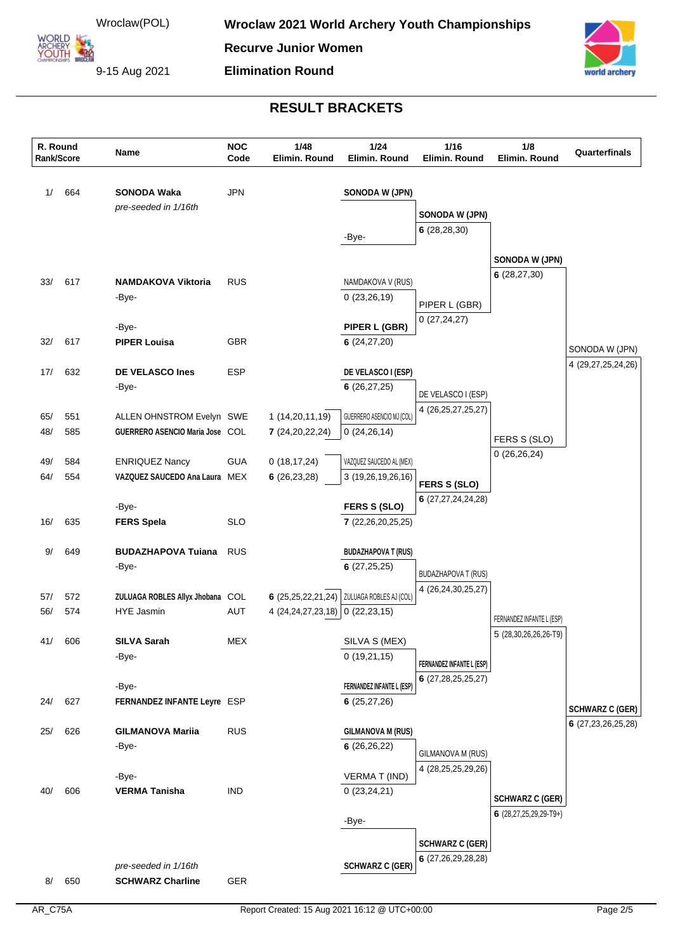**ARCHERY<br>YOUTH 422** 

**Recurve Junior Women**

**Elimination Round**

9-15 Aug 2021



| 664<br><b>JPN</b><br>1/<br><b>SONODA Waka</b><br>SONODA W (JPN)<br>pre-seeded in 1/16th<br>SONODA W (JPN)<br>6(28, 28, 30)<br>-Bye-<br>SONODA W (JPN)<br>6(28, 27, 30)<br>33/<br><b>RUS</b><br>617<br>NAMDAKOVA V (RUS)<br><b>NAMDAKOVA Viktoria</b><br>0(23,26,19)<br>-Bye-<br>PIPER L (GBR)<br>0(27, 24, 27)<br>-Bye-<br>PIPER L (GBR)<br><b>GBR</b><br>32/<br>617<br><b>PIPER Louisa</b><br>6(24, 27, 20)<br>SONODA W (JPN)<br>4 (29,27,25,24,26)<br>632<br><b>DE VELASCO Ines</b><br><b>ESP</b><br>17/<br>DE VELASCO I (ESP)<br>6(26, 27, 25)<br>-Bye-<br>DE VELASCO I (ESP)<br>4 (26, 25, 27, 25, 27)<br>GUERRERO ASENCIO MJ (COL)<br>65/<br>551<br>ALLEN OHNSTROM Evelyn SWE<br>1(14,20,11,19)<br>48/<br>585<br>GUERRERO ASENCIO Maria Jose COL<br>0(24, 26, 14)<br>7(24,20,22,24)<br>FERS S (SLO)<br>0(26,26,24)<br><b>GUA</b><br>0(18, 17, 24)<br>VAZQUEZ SAUCEDO AL (MEX)<br>49/<br>584<br><b>ENRIQUEZ Nancy</b><br>64/<br>554<br>VAZQUEZ SAUCEDO Ana Laura MEX<br>6(26, 23, 28)<br>3 (19,26,19,26,16)<br><b>FERS S (SLO)</b><br>6(27, 27, 24, 24, 28)<br>-Bye-<br>FERS S (SLO)<br>635<br>16/<br><b>SLO</b><br><b>FERS Spela</b><br>7(22,26,20,25,25)<br>9/<br>649<br><b>BUDAZHAPOVA Tuiana</b><br><b>RUS</b><br><b>BUDAZHAPOVA T (RUS)</b><br>-Bye-<br>6(27,25,25)<br><b>BUDAZHAPOVA T (RUS)</b><br>4 (26,24,30,25,27)<br>572<br>6 (25,25,22,21,24)   ZULUAGA ROBLES AJ (COL)<br>57/<br>ZULUAGA ROBLES Allyx Jhobana COL<br>56/<br>574<br><b>HYE Jasmin</b><br><b>AUT</b><br>4 (24, 24, 27, 23, 18)<br>0(22, 23, 15)<br>FERNANDEZ INFANTE L (ESP)<br>5 (28,30,26,26,26-T9)<br>41/<br>606<br><b>SILVA Sarah</b><br>MEX<br>SILVA S (MEX)<br>0(19,21,15)<br>-Bye-<br>FERNANDEZ INFANTE L (ESP)<br>6(27, 28, 25, 25, 27)<br>-Bye-<br>FERNANDEZ INFANTE L (ESP)<br>627<br>24/<br>FERNANDEZ INFANTE Leyre ESP<br>6(25, 27, 26)<br><b>SCHWARZ C (GER)</b><br>6(27, 23, 26, 25, 28)<br>626<br><b>RUS</b><br><b>GILMANOVA M (RUS)</b><br>25/<br><b>GILMANOVA Mariia</b><br>-Bye-<br>6(26, 26, 22)<br>GILMANOVA M (RUS)<br>4 (28,25,25,29,26)<br>-Bye-<br><b>VERMAT (IND)</b><br><b>IND</b><br>0(23,24,21)<br>606<br>40/<br><b>VERMA Tanisha</b><br><b>SCHWARZ C (GER)</b><br>6 $(28, 27, 25, 29, 29 - T9+)$<br>-Bye-<br><b>SCHWARZ C (GER)</b><br>6 (27,26,29,28,28)<br>pre-seeded in 1/16th<br><b>SCHWARZ C (GER)</b> | R. Round<br>Rank/Score |     | Name                    | <b>NOC</b><br>Code | 1/48<br>Elimin. Round | 1/24<br>Elimin. Round | 1/16<br>Elimin. Round | 1/8<br>Elimin. Round | Quarterfinals |
|-------------------------------------------------------------------------------------------------------------------------------------------------------------------------------------------------------------------------------------------------------------------------------------------------------------------------------------------------------------------------------------------------------------------------------------------------------------------------------------------------------------------------------------------------------------------------------------------------------------------------------------------------------------------------------------------------------------------------------------------------------------------------------------------------------------------------------------------------------------------------------------------------------------------------------------------------------------------------------------------------------------------------------------------------------------------------------------------------------------------------------------------------------------------------------------------------------------------------------------------------------------------------------------------------------------------------------------------------------------------------------------------------------------------------------------------------------------------------------------------------------------------------------------------------------------------------------------------------------------------------------------------------------------------------------------------------------------------------------------------------------------------------------------------------------------------------------------------------------------------------------------------------------------------------------------------------------------------------------------------------------------------------------------------------------------------------------------------------------------------------------------------------------------------------------------------------------------------------------------------------------------------------------------------------------------------------|------------------------|-----|-------------------------|--------------------|-----------------------|-----------------------|-----------------------|----------------------|---------------|
|                                                                                                                                                                                                                                                                                                                                                                                                                                                                                                                                                                                                                                                                                                                                                                                                                                                                                                                                                                                                                                                                                                                                                                                                                                                                                                                                                                                                                                                                                                                                                                                                                                                                                                                                                                                                                                                                                                                                                                                                                                                                                                                                                                                                                                                                                                                         |                        |     |                         |                    |                       |                       |                       |                      |               |
|                                                                                                                                                                                                                                                                                                                                                                                                                                                                                                                                                                                                                                                                                                                                                                                                                                                                                                                                                                                                                                                                                                                                                                                                                                                                                                                                                                                                                                                                                                                                                                                                                                                                                                                                                                                                                                                                                                                                                                                                                                                                                                                                                                                                                                                                                                                         |                        |     |                         |                    |                       |                       |                       |                      |               |
|                                                                                                                                                                                                                                                                                                                                                                                                                                                                                                                                                                                                                                                                                                                                                                                                                                                                                                                                                                                                                                                                                                                                                                                                                                                                                                                                                                                                                                                                                                                                                                                                                                                                                                                                                                                                                                                                                                                                                                                                                                                                                                                                                                                                                                                                                                                         |                        |     |                         |                    |                       |                       |                       |                      |               |
|                                                                                                                                                                                                                                                                                                                                                                                                                                                                                                                                                                                                                                                                                                                                                                                                                                                                                                                                                                                                                                                                                                                                                                                                                                                                                                                                                                                                                                                                                                                                                                                                                                                                                                                                                                                                                                                                                                                                                                                                                                                                                                                                                                                                                                                                                                                         |                        |     |                         |                    |                       |                       |                       |                      |               |
|                                                                                                                                                                                                                                                                                                                                                                                                                                                                                                                                                                                                                                                                                                                                                                                                                                                                                                                                                                                                                                                                                                                                                                                                                                                                                                                                                                                                                                                                                                                                                                                                                                                                                                                                                                                                                                                                                                                                                                                                                                                                                                                                                                                                                                                                                                                         |                        |     |                         |                    |                       |                       |                       |                      |               |
|                                                                                                                                                                                                                                                                                                                                                                                                                                                                                                                                                                                                                                                                                                                                                                                                                                                                                                                                                                                                                                                                                                                                                                                                                                                                                                                                                                                                                                                                                                                                                                                                                                                                                                                                                                                                                                                                                                                                                                                                                                                                                                                                                                                                                                                                                                                         |                        |     |                         |                    |                       |                       |                       |                      |               |
|                                                                                                                                                                                                                                                                                                                                                                                                                                                                                                                                                                                                                                                                                                                                                                                                                                                                                                                                                                                                                                                                                                                                                                                                                                                                                                                                                                                                                                                                                                                                                                                                                                                                                                                                                                                                                                                                                                                                                                                                                                                                                                                                                                                                                                                                                                                         |                        |     |                         |                    |                       |                       |                       |                      |               |
|                                                                                                                                                                                                                                                                                                                                                                                                                                                                                                                                                                                                                                                                                                                                                                                                                                                                                                                                                                                                                                                                                                                                                                                                                                                                                                                                                                                                                                                                                                                                                                                                                                                                                                                                                                                                                                                                                                                                                                                                                                                                                                                                                                                                                                                                                                                         |                        |     |                         |                    |                       |                       |                       |                      |               |
|                                                                                                                                                                                                                                                                                                                                                                                                                                                                                                                                                                                                                                                                                                                                                                                                                                                                                                                                                                                                                                                                                                                                                                                                                                                                                                                                                                                                                                                                                                                                                                                                                                                                                                                                                                                                                                                                                                                                                                                                                                                                                                                                                                                                                                                                                                                         |                        |     |                         |                    |                       |                       |                       |                      |               |
|                                                                                                                                                                                                                                                                                                                                                                                                                                                                                                                                                                                                                                                                                                                                                                                                                                                                                                                                                                                                                                                                                                                                                                                                                                                                                                                                                                                                                                                                                                                                                                                                                                                                                                                                                                                                                                                                                                                                                                                                                                                                                                                                                                                                                                                                                                                         |                        |     |                         |                    |                       |                       |                       |                      |               |
|                                                                                                                                                                                                                                                                                                                                                                                                                                                                                                                                                                                                                                                                                                                                                                                                                                                                                                                                                                                                                                                                                                                                                                                                                                                                                                                                                                                                                                                                                                                                                                                                                                                                                                                                                                                                                                                                                                                                                                                                                                                                                                                                                                                                                                                                                                                         |                        |     |                         |                    |                       |                       |                       |                      |               |
|                                                                                                                                                                                                                                                                                                                                                                                                                                                                                                                                                                                                                                                                                                                                                                                                                                                                                                                                                                                                                                                                                                                                                                                                                                                                                                                                                                                                                                                                                                                                                                                                                                                                                                                                                                                                                                                                                                                                                                                                                                                                                                                                                                                                                                                                                                                         |                        |     |                         |                    |                       |                       |                       |                      |               |
|                                                                                                                                                                                                                                                                                                                                                                                                                                                                                                                                                                                                                                                                                                                                                                                                                                                                                                                                                                                                                                                                                                                                                                                                                                                                                                                                                                                                                                                                                                                                                                                                                                                                                                                                                                                                                                                                                                                                                                                                                                                                                                                                                                                                                                                                                                                         |                        |     |                         |                    |                       |                       |                       |                      |               |
|                                                                                                                                                                                                                                                                                                                                                                                                                                                                                                                                                                                                                                                                                                                                                                                                                                                                                                                                                                                                                                                                                                                                                                                                                                                                                                                                                                                                                                                                                                                                                                                                                                                                                                                                                                                                                                                                                                                                                                                                                                                                                                                                                                                                                                                                                                                         |                        |     |                         |                    |                       |                       |                       |                      |               |
|                                                                                                                                                                                                                                                                                                                                                                                                                                                                                                                                                                                                                                                                                                                                                                                                                                                                                                                                                                                                                                                                                                                                                                                                                                                                                                                                                                                                                                                                                                                                                                                                                                                                                                                                                                                                                                                                                                                                                                                                                                                                                                                                                                                                                                                                                                                         |                        |     |                         |                    |                       |                       |                       |                      |               |
|                                                                                                                                                                                                                                                                                                                                                                                                                                                                                                                                                                                                                                                                                                                                                                                                                                                                                                                                                                                                                                                                                                                                                                                                                                                                                                                                                                                                                                                                                                                                                                                                                                                                                                                                                                                                                                                                                                                                                                                                                                                                                                                                                                                                                                                                                                                         |                        |     |                         |                    |                       |                       |                       |                      |               |
|                                                                                                                                                                                                                                                                                                                                                                                                                                                                                                                                                                                                                                                                                                                                                                                                                                                                                                                                                                                                                                                                                                                                                                                                                                                                                                                                                                                                                                                                                                                                                                                                                                                                                                                                                                                                                                                                                                                                                                                                                                                                                                                                                                                                                                                                                                                         |                        |     |                         |                    |                       |                       |                       |                      |               |
|                                                                                                                                                                                                                                                                                                                                                                                                                                                                                                                                                                                                                                                                                                                                                                                                                                                                                                                                                                                                                                                                                                                                                                                                                                                                                                                                                                                                                                                                                                                                                                                                                                                                                                                                                                                                                                                                                                                                                                                                                                                                                                                                                                                                                                                                                                                         |                        |     |                         |                    |                       |                       |                       |                      |               |
|                                                                                                                                                                                                                                                                                                                                                                                                                                                                                                                                                                                                                                                                                                                                                                                                                                                                                                                                                                                                                                                                                                                                                                                                                                                                                                                                                                                                                                                                                                                                                                                                                                                                                                                                                                                                                                                                                                                                                                                                                                                                                                                                                                                                                                                                                                                         |                        |     |                         |                    |                       |                       |                       |                      |               |
|                                                                                                                                                                                                                                                                                                                                                                                                                                                                                                                                                                                                                                                                                                                                                                                                                                                                                                                                                                                                                                                                                                                                                                                                                                                                                                                                                                                                                                                                                                                                                                                                                                                                                                                                                                                                                                                                                                                                                                                                                                                                                                                                                                                                                                                                                                                         |                        |     |                         |                    |                       |                       |                       |                      |               |
|                                                                                                                                                                                                                                                                                                                                                                                                                                                                                                                                                                                                                                                                                                                                                                                                                                                                                                                                                                                                                                                                                                                                                                                                                                                                                                                                                                                                                                                                                                                                                                                                                                                                                                                                                                                                                                                                                                                                                                                                                                                                                                                                                                                                                                                                                                                         |                        |     |                         |                    |                       |                       |                       |                      |               |
|                                                                                                                                                                                                                                                                                                                                                                                                                                                                                                                                                                                                                                                                                                                                                                                                                                                                                                                                                                                                                                                                                                                                                                                                                                                                                                                                                                                                                                                                                                                                                                                                                                                                                                                                                                                                                                                                                                                                                                                                                                                                                                                                                                                                                                                                                                                         |                        |     |                         |                    |                       |                       |                       |                      |               |
|                                                                                                                                                                                                                                                                                                                                                                                                                                                                                                                                                                                                                                                                                                                                                                                                                                                                                                                                                                                                                                                                                                                                                                                                                                                                                                                                                                                                                                                                                                                                                                                                                                                                                                                                                                                                                                                                                                                                                                                                                                                                                                                                                                                                                                                                                                                         |                        |     |                         |                    |                       |                       |                       |                      |               |
|                                                                                                                                                                                                                                                                                                                                                                                                                                                                                                                                                                                                                                                                                                                                                                                                                                                                                                                                                                                                                                                                                                                                                                                                                                                                                                                                                                                                                                                                                                                                                                                                                                                                                                                                                                                                                                                                                                                                                                                                                                                                                                                                                                                                                                                                                                                         |                        |     |                         |                    |                       |                       |                       |                      |               |
|                                                                                                                                                                                                                                                                                                                                                                                                                                                                                                                                                                                                                                                                                                                                                                                                                                                                                                                                                                                                                                                                                                                                                                                                                                                                                                                                                                                                                                                                                                                                                                                                                                                                                                                                                                                                                                                                                                                                                                                                                                                                                                                                                                                                                                                                                                                         |                        |     |                         |                    |                       |                       |                       |                      |               |
|                                                                                                                                                                                                                                                                                                                                                                                                                                                                                                                                                                                                                                                                                                                                                                                                                                                                                                                                                                                                                                                                                                                                                                                                                                                                                                                                                                                                                                                                                                                                                                                                                                                                                                                                                                                                                                                                                                                                                                                                                                                                                                                                                                                                                                                                                                                         |                        |     |                         |                    |                       |                       |                       |                      |               |
|                                                                                                                                                                                                                                                                                                                                                                                                                                                                                                                                                                                                                                                                                                                                                                                                                                                                                                                                                                                                                                                                                                                                                                                                                                                                                                                                                                                                                                                                                                                                                                                                                                                                                                                                                                                                                                                                                                                                                                                                                                                                                                                                                                                                                                                                                                                         |                        |     |                         |                    |                       |                       |                       |                      |               |
|                                                                                                                                                                                                                                                                                                                                                                                                                                                                                                                                                                                                                                                                                                                                                                                                                                                                                                                                                                                                                                                                                                                                                                                                                                                                                                                                                                                                                                                                                                                                                                                                                                                                                                                                                                                                                                                                                                                                                                                                                                                                                                                                                                                                                                                                                                                         |                        |     |                         |                    |                       |                       |                       |                      |               |
|                                                                                                                                                                                                                                                                                                                                                                                                                                                                                                                                                                                                                                                                                                                                                                                                                                                                                                                                                                                                                                                                                                                                                                                                                                                                                                                                                                                                                                                                                                                                                                                                                                                                                                                                                                                                                                                                                                                                                                                                                                                                                                                                                                                                                                                                                                                         |                        |     |                         |                    |                       |                       |                       |                      |               |
|                                                                                                                                                                                                                                                                                                                                                                                                                                                                                                                                                                                                                                                                                                                                                                                                                                                                                                                                                                                                                                                                                                                                                                                                                                                                                                                                                                                                                                                                                                                                                                                                                                                                                                                                                                                                                                                                                                                                                                                                                                                                                                                                                                                                                                                                                                                         |                        |     |                         |                    |                       |                       |                       |                      |               |
|                                                                                                                                                                                                                                                                                                                                                                                                                                                                                                                                                                                                                                                                                                                                                                                                                                                                                                                                                                                                                                                                                                                                                                                                                                                                                                                                                                                                                                                                                                                                                                                                                                                                                                                                                                                                                                                                                                                                                                                                                                                                                                                                                                                                                                                                                                                         |                        |     |                         |                    |                       |                       |                       |                      |               |
|                                                                                                                                                                                                                                                                                                                                                                                                                                                                                                                                                                                                                                                                                                                                                                                                                                                                                                                                                                                                                                                                                                                                                                                                                                                                                                                                                                                                                                                                                                                                                                                                                                                                                                                                                                                                                                                                                                                                                                                                                                                                                                                                                                                                                                                                                                                         |                        |     |                         |                    |                       |                       |                       |                      |               |
|                                                                                                                                                                                                                                                                                                                                                                                                                                                                                                                                                                                                                                                                                                                                                                                                                                                                                                                                                                                                                                                                                                                                                                                                                                                                                                                                                                                                                                                                                                                                                                                                                                                                                                                                                                                                                                                                                                                                                                                                                                                                                                                                                                                                                                                                                                                         |                        |     |                         |                    |                       |                       |                       |                      |               |
|                                                                                                                                                                                                                                                                                                                                                                                                                                                                                                                                                                                                                                                                                                                                                                                                                                                                                                                                                                                                                                                                                                                                                                                                                                                                                                                                                                                                                                                                                                                                                                                                                                                                                                                                                                                                                                                                                                                                                                                                                                                                                                                                                                                                                                                                                                                         |                        |     |                         |                    |                       |                       |                       |                      |               |
|                                                                                                                                                                                                                                                                                                                                                                                                                                                                                                                                                                                                                                                                                                                                                                                                                                                                                                                                                                                                                                                                                                                                                                                                                                                                                                                                                                                                                                                                                                                                                                                                                                                                                                                                                                                                                                                                                                                                                                                                                                                                                                                                                                                                                                                                                                                         |                        |     |                         |                    |                       |                       |                       |                      |               |
|                                                                                                                                                                                                                                                                                                                                                                                                                                                                                                                                                                                                                                                                                                                                                                                                                                                                                                                                                                                                                                                                                                                                                                                                                                                                                                                                                                                                                                                                                                                                                                                                                                                                                                                                                                                                                                                                                                                                                                                                                                                                                                                                                                                                                                                                                                                         |                        |     |                         |                    |                       |                       |                       |                      |               |
|                                                                                                                                                                                                                                                                                                                                                                                                                                                                                                                                                                                                                                                                                                                                                                                                                                                                                                                                                                                                                                                                                                                                                                                                                                                                                                                                                                                                                                                                                                                                                                                                                                                                                                                                                                                                                                                                                                                                                                                                                                                                                                                                                                                                                                                                                                                         |                        |     |                         |                    |                       |                       |                       |                      |               |
|                                                                                                                                                                                                                                                                                                                                                                                                                                                                                                                                                                                                                                                                                                                                                                                                                                                                                                                                                                                                                                                                                                                                                                                                                                                                                                                                                                                                                                                                                                                                                                                                                                                                                                                                                                                                                                                                                                                                                                                                                                                                                                                                                                                                                                                                                                                         |                        |     |                         |                    |                       |                       |                       |                      |               |
|                                                                                                                                                                                                                                                                                                                                                                                                                                                                                                                                                                                                                                                                                                                                                                                                                                                                                                                                                                                                                                                                                                                                                                                                                                                                                                                                                                                                                                                                                                                                                                                                                                                                                                                                                                                                                                                                                                                                                                                                                                                                                                                                                                                                                                                                                                                         |                        |     |                         |                    |                       |                       |                       |                      |               |
|                                                                                                                                                                                                                                                                                                                                                                                                                                                                                                                                                                                                                                                                                                                                                                                                                                                                                                                                                                                                                                                                                                                                                                                                                                                                                                                                                                                                                                                                                                                                                                                                                                                                                                                                                                                                                                                                                                                                                                                                                                                                                                                                                                                                                                                                                                                         |                        |     |                         |                    |                       |                       |                       |                      |               |
|                                                                                                                                                                                                                                                                                                                                                                                                                                                                                                                                                                                                                                                                                                                                                                                                                                                                                                                                                                                                                                                                                                                                                                                                                                                                                                                                                                                                                                                                                                                                                                                                                                                                                                                                                                                                                                                                                                                                                                                                                                                                                                                                                                                                                                                                                                                         | 8/                     | 650 | <b>SCHWARZ Charline</b> | GER                |                       |                       |                       |                      |               |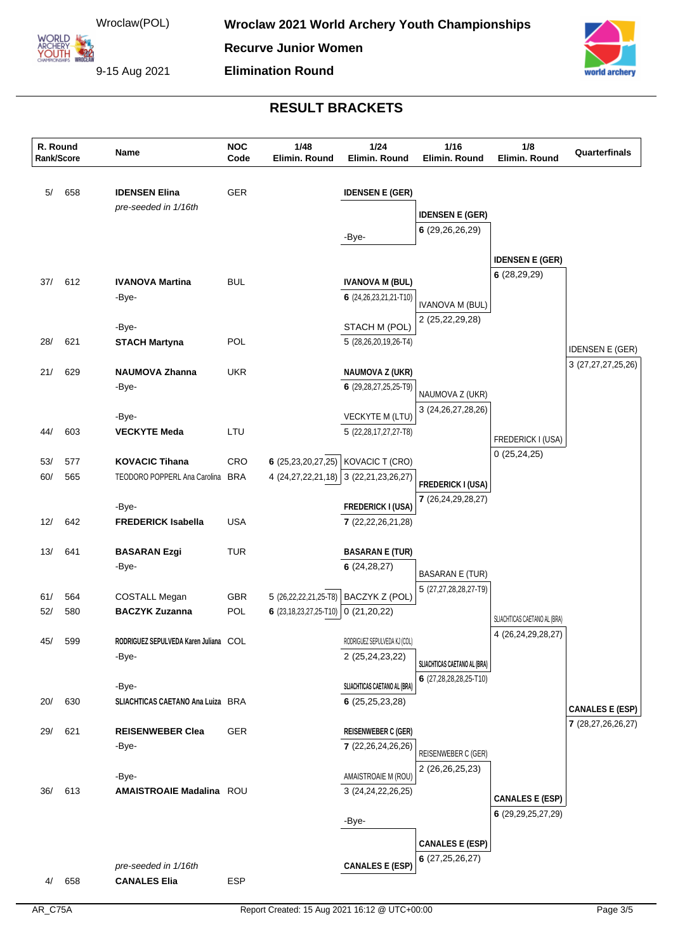**Recurve Junior Women**

**Elimination Round**

9-15 Aug 2021

YOUTH 22



| R. Round<br>Rank/Score |     | Name                                  | <b>NOC</b><br>Code | 1/48<br>Elimin, Round                           | 1/24<br>Elimin. Round                              | 1/16<br>Elimin, Round                       | 1/8<br>Elimin, Round         | Quarterfinals                               |
|------------------------|-----|---------------------------------------|--------------------|-------------------------------------------------|----------------------------------------------------|---------------------------------------------|------------------------------|---------------------------------------------|
|                        |     |                                       |                    |                                                 |                                                    |                                             |                              |                                             |
| 5/                     | 658 | <b>IDENSEN Elina</b>                  | GER                |                                                 | <b>IDENSEN E (GER)</b>                             |                                             |                              |                                             |
|                        |     | pre-seeded in 1/16th                  |                    |                                                 |                                                    | <b>IDENSEN E (GER)</b>                      |                              |                                             |
|                        |     |                                       |                    |                                                 | -Bye-                                              | 6(29,26,26,29)                              |                              |                                             |
|                        |     |                                       |                    |                                                 |                                                    |                                             |                              |                                             |
|                        |     |                                       |                    |                                                 |                                                    |                                             | <b>IDENSEN E (GER)</b>       |                                             |
| 37/                    | 612 | <b>IVANOVA Martina</b>                | <b>BUL</b>         |                                                 | <b>IVANOVA M (BUL)</b>                             |                                             | 6(28, 29, 29)                |                                             |
|                        |     | -Bye-                                 |                    |                                                 | 6 (24, 26, 23, 21, 21-T10)                         | <b>IVANOVA M (BUL)</b>                      |                              |                                             |
|                        |     |                                       |                    |                                                 |                                                    | 2 (25,22,29,28)                             |                              |                                             |
|                        |     | -Bye-                                 |                    |                                                 | STACH M (POL)                                      |                                             |                              |                                             |
| 28/                    | 621 | <b>STACH Martyna</b>                  | POL                |                                                 | 5 (28,26,20,19,26-T4)                              |                                             |                              | <b>IDENSEN E (GER)</b>                      |
| 21/                    | 629 | <b>NAUMOVA Zhanna</b>                 | <b>UKR</b>         |                                                 | <b>NAUMOVA Z (UKR)</b>                             |                                             |                              | 3 (27,27,27,25,26)                          |
|                        |     | -Bye-                                 |                    |                                                 | 6 (29,28,27,25,25-T9)                              |                                             |                              |                                             |
|                        |     |                                       |                    |                                                 |                                                    | NAUMOVA Z (UKR)                             |                              |                                             |
|                        |     | -Bye-                                 |                    |                                                 | VECKYTE M (LTU)                                    | 3 (24, 26, 27, 28, 26)                      |                              |                                             |
| 44/                    | 603 | <b>VECKYTE Meda</b>                   | LTU                |                                                 | 5 (22,28,17,27,27-T8)                              |                                             | FREDERICK I (USA)            |                                             |
|                        |     |                                       |                    |                                                 |                                                    |                                             | 0(25, 24, 25)                |                                             |
| 53/                    | 577 | <b>KOVACIC Tihana</b>                 | CRO                | 6(25,23,20,27,25)                               | KOVACIC T (CRO)                                    |                                             |                              |                                             |
| 60/                    | 565 | TEODORO POPPERL Ana Carolina BRA      |                    | 4 (24,27,22,21,18)                              | 3 (22,21,23,26,27)                                 | <b>FREDERICK I (USA)</b>                    |                              |                                             |
|                        |     | -Bye-                                 |                    |                                                 |                                                    | 7 (26,24,29,28,27)                          |                              |                                             |
| 12/                    | 642 | <b>FREDERICK Isabella</b>             | <b>USA</b>         |                                                 | <b>FREDERICK I (USA)</b><br>7 (22, 22, 26, 21, 28) |                                             |                              |                                             |
|                        |     |                                       |                    |                                                 |                                                    |                                             |                              |                                             |
| 13/                    | 641 | <b>BASARAN Ezgi</b>                   | <b>TUR</b>         |                                                 | <b>BASARAN E (TUR)</b>                             |                                             |                              |                                             |
|                        |     | -Bye-                                 |                    |                                                 | 6(24, 28, 27)                                      | <b>BASARAN E (TUR)</b>                      |                              |                                             |
|                        |     |                                       |                    |                                                 |                                                    | 5 (27,27,28,28,27-T9)                       |                              |                                             |
| 61/                    | 564 | <b>COSTALL Megan</b>                  | <b>GBR</b>         | 5 (26,22,22,21,25-T8)                           | BACZYK Z (POL)                                     |                                             |                              |                                             |
| 52/                    | 580 | <b>BACZYK Zuzanna</b>                 | POL                | 6 $(23, 18, 23, 27, 25 - T10)$ 0 $(21, 20, 22)$ |                                                    |                                             | SLIACHTICAS CAETANO AL (BRA) |                                             |
|                        |     | RODRIGUEZ SEPULVEDA Karen Juliana COL |                    |                                                 |                                                    |                                             | 4 (26, 24, 29, 28, 27)       |                                             |
| 45/                    | 599 | -Bye-                                 |                    |                                                 | RODRIGUEZ SEPULVEDA KJ (COL)<br>2 (25,24,23,22)    |                                             |                              |                                             |
|                        |     |                                       |                    |                                                 |                                                    | SLIACHTICAS CAETANO AL (BRA)                |                              |                                             |
|                        |     | -Bye-                                 |                    |                                                 | SLIACHTICAS CAETANO AL (BRA)                       | 6 (27,28,28,28,25-T10)                      |                              |                                             |
| 20/                    | 630 | SLIACHTICAS CAETANO Ana Luiza BRA     |                    |                                                 | 6(25,25,23,28)                                     |                                             |                              |                                             |
|                        |     |                                       |                    |                                                 |                                                    |                                             |                              | <b>CANALES E (ESP)</b><br>7(28,27,26,26,27) |
| 29/                    | 621 | <b>REISENWEBER Clea</b>               | <b>GER</b>         |                                                 | <b>REISENWEBER C (GER)</b>                         |                                             |                              |                                             |
|                        |     | -Bye-                                 |                    |                                                 | 7 (22, 26, 24, 26, 26)                             | REISENWEBER C (GER)                         |                              |                                             |
|                        |     |                                       |                    |                                                 |                                                    | 2 (26, 26, 25, 23)                          |                              |                                             |
| 36/                    | 613 | -Bye-<br>AMAISTROAIE Madalina ROU     |                    |                                                 | AMAISTROAIE M (ROU)<br>3 (24, 24, 22, 26, 25)      |                                             |                              |                                             |
|                        |     |                                       |                    |                                                 |                                                    |                                             | <b>CANALES E (ESP)</b>       |                                             |
|                        |     |                                       |                    |                                                 | -Bye-                                              |                                             | 6 (29, 29, 25, 27, 29)       |                                             |
|                        |     |                                       |                    |                                                 |                                                    |                                             |                              |                                             |
|                        |     |                                       |                    |                                                 |                                                    | <b>CANALES E (ESP)</b><br>6(27, 25, 26, 27) |                              |                                             |
|                        |     | pre-seeded in 1/16th                  |                    |                                                 | <b>CANALES E (ESP)</b>                             |                                             |                              |                                             |
| 4/                     | 658 | <b>CANALES Elia</b>                   | <b>ESP</b>         |                                                 |                                                    |                                             |                              |                                             |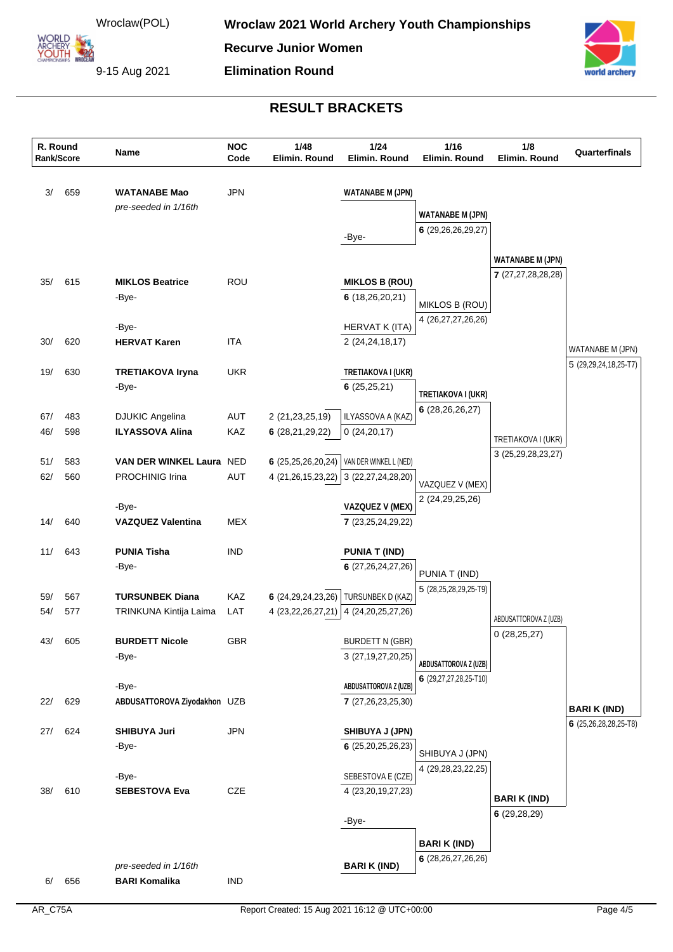**Recurve Junior Women**

**Elimination Round**

9-15 Aug 2021

**ARCHERY<br>YOUTH 422** 



| R. Round<br>Rank/Score |            | Name                                         | <b>NOC</b><br>Code | 1/48<br>Elimin. Round  | 1/24<br>Elimin. Round                      | 1/16<br>Elimin. Round   | 1/8<br>Elimin. Round    | Quarterfinals         |
|------------------------|------------|----------------------------------------------|--------------------|------------------------|--------------------------------------------|-------------------------|-------------------------|-----------------------|
| 3/                     | 659        | <b>WATANABE Mao</b>                          | <b>JPN</b>         |                        | <b>WATANABE M (JPN)</b>                    |                         |                         |                       |
|                        |            | pre-seeded in 1/16th                         |                    |                        |                                            | <b>WATANABE M (JPN)</b> |                         |                       |
|                        |            |                                              |                    |                        |                                            | 6(29, 26, 26, 29, 27)   |                         |                       |
|                        |            |                                              |                    |                        | -Bye-                                      |                         |                         |                       |
|                        |            |                                              |                    |                        |                                            |                         | <b>WATANABE M (JPN)</b> |                       |
| 35/                    | 615        | <b>MIKLOS Beatrice</b>                       | <b>ROU</b>         |                        |                                            |                         | 7 (27,27,28,28,28)      |                       |
|                        |            | -Bye-                                        |                    |                        | <b>MIKLOS B (ROU)</b><br>6(18, 26, 20, 21) |                         |                         |                       |
|                        |            |                                              |                    |                        |                                            | MIKLOS B (ROU)          |                         |                       |
|                        |            | -Bye-                                        |                    |                        | HERVAT K (ITA)                             | 4 (26, 27, 27, 26, 26)  |                         |                       |
| 30/                    | 620        | <b>HERVAT Karen</b>                          | <b>ITA</b>         |                        | 2 (24, 24, 18, 17)                         |                         |                         |                       |
|                        |            |                                              |                    |                        |                                            |                         |                         | WATANABE M (JPN)      |
| 19/                    | 630        | <b>TRETIAKOVA Iryna</b>                      | <b>UKR</b>         |                        | TRETIAKOVA I (UKR)                         |                         |                         | 5 (29,29,24,18,25-T7) |
|                        |            | -Bye-                                        |                    |                        | 6(25,25,21)                                | TRETIAKOVA I (UKR)      |                         |                       |
|                        |            |                                              |                    |                        |                                            | 6(28, 26, 26, 27)       |                         |                       |
| 67/                    | 483        | <b>DJUKIC Angelina</b>                       | AUT                | 2 (21,23,25,19)        | ILYASSOVA A (KAZ)                          |                         |                         |                       |
| 46/                    | 598        | <b>ILYASSOVA Alina</b>                       | KAZ                | 6(28,21,29,22)         | 0(24,20,17)                                |                         | TRETIAKOVA I (UKR)      |                       |
|                        |            |                                              |                    |                        |                                            |                         | 3 (25,29,28,23,27)      |                       |
| 51/<br>62/             | 583<br>560 | VAN DER WINKEL Laura NED<br>PROCHINIG Irina  | AUT                | 6(25,25,26,20,24)      | VAN DER WINKEL L (NED)                     |                         |                         |                       |
|                        |            |                                              |                    | 4 (21,26,15,23,22)     | 3(22, 27, 24, 28, 20)                      | VAZQUEZ V (MEX)         |                         |                       |
|                        |            | -Bye-                                        |                    |                        | <b>VAZQUEZ V (MEX)</b>                     | 2 (24, 29, 25, 26)      |                         |                       |
| 14/                    | 640        | <b>VAZQUEZ Valentina</b>                     | <b>MEX</b>         |                        | 7 (23, 25, 24, 29, 22)                     |                         |                         |                       |
|                        |            |                                              |                    |                        |                                            |                         |                         |                       |
| 11/                    | 643        | <b>PUNIA Tisha</b>                           | <b>IND</b>         |                        | <b>PUNIA T (IND)</b>                       |                         |                         |                       |
|                        |            | -Bye-                                        |                    |                        | 6 (27,26,24,27,26)                         | PUNIA T (IND)           |                         |                       |
|                        |            |                                              |                    |                        |                                            | 5 (28,25,28,29,25-T9)   |                         |                       |
| 59/                    | 567        | <b>TURSUNBEK Diana</b>                       | <b>KAZ</b>         | 6(24,29,24,23,26)      | TURSUNBEK D (KAZ)                          |                         |                         |                       |
| 54/                    | 577        | TRINKUNA Kintija Laima                       | LAT                | 4 (23, 22, 26, 27, 21) | 4 (24, 20, 25, 27, 26)                     |                         | ABDUSATTOROVA Z (UZB)   |                       |
|                        |            |                                              |                    |                        |                                            |                         | 0(28, 25, 27)           |                       |
| 43/                    | 605        | <b>BURDETT Nicole</b>                        | <b>GBR</b>         |                        | <b>BURDETT N (GBR)</b>                     |                         |                         |                       |
|                        |            | -Bye-                                        |                    |                        | 3 (27, 19, 27, 20, 25)                     | ABDUSATTOROVA Z (UZB)   |                         |                       |
|                        |            | -Bye-                                        |                    |                        | ABDUSATTOROVA Z (UZB)                      | 6 (29,27,27,28,25-T10)  |                         |                       |
| 22/                    | 629        | ABDUSATTOROVA Ziyodakhon UZB                 |                    |                        | 7(27,26,23,25,30)                          |                         |                         |                       |
|                        |            |                                              |                    |                        |                                            |                         |                         | <b>BARI K (IND)</b>   |
| 27/                    | 624        | <b>SHIBUYA Juri</b>                          | <b>JPN</b>         |                        | SHIBUYA J (JPN)                            |                         |                         | 6 (25,26,28,28,25-T8) |
|                        |            | -Bye-                                        |                    |                        | 6(25,20,25,26,23)                          |                         |                         |                       |
|                        |            |                                              |                    |                        |                                            | SHIBUYA J (JPN)         |                         |                       |
|                        |            | -Bye-                                        |                    |                        | SEBESTOVA E (CZE)                          | 4 (29,28,23,22,25)      |                         |                       |
| 38/                    | 610        | <b>SEBESTOVA Eva</b>                         | CZE                |                        | 4 (23, 20, 19, 27, 23)                     |                         | <b>BARI K (IND)</b>     |                       |
|                        |            |                                              |                    |                        |                                            |                         | 6(29, 28, 29)           |                       |
|                        |            |                                              |                    |                        | -Bye-                                      |                         |                         |                       |
|                        |            |                                              |                    |                        |                                            | <b>BARI K (IND)</b>     |                         |                       |
|                        |            |                                              |                    |                        |                                            | 6 (28, 26, 27, 26, 26)  |                         |                       |
| 6/                     | 656        | pre-seeded in 1/16th<br><b>BARI Komalika</b> | <b>IND</b>         |                        | <b>BARIK (IND)</b>                         |                         |                         |                       |
|                        |            |                                              |                    |                        |                                            |                         |                         |                       |